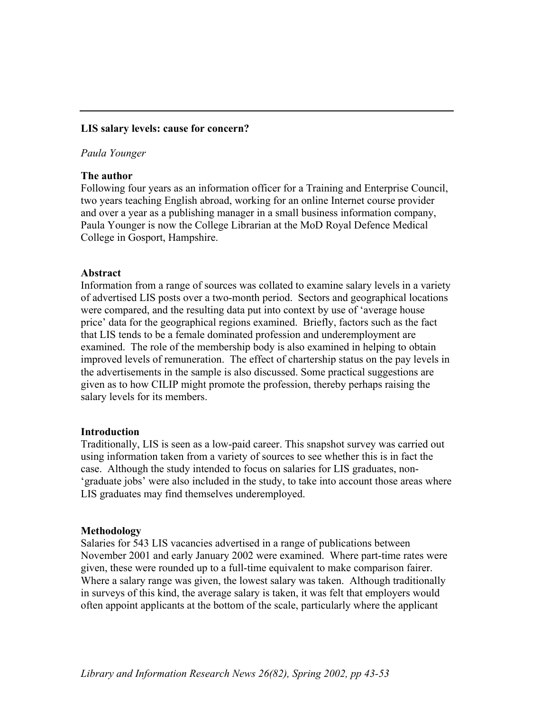## **LIS salary levels: cause for concern?**

### *Paula Younger*

# **The author**

Following four years as an information officer for a Training and Enterprise Council, two years teaching English abroad, working for an online Internet course provider and over a year as a publishing manager in a small business information company, Paula Younger is now the College Librarian at the MoD Royal Defence Medical College in Gosport, Hampshire.

## **Abstract**

Information from a range of sources was collated to examine salary levels in a variety of advertised LIS posts over a two-month period. Sectors and geographical locations were compared, and the resulting data put into context by use of 'average house price' data for the geographical regions examined. Briefly, factors such as the fact that LIS tends to be a female dominated profession and underemployment are examined. The role of the membership body is also examined in helping to obtain improved levels of remuneration. The effect of chartership status on the pay levels in the advertisements in the sample is also discussed. Some practical suggestions are given as to how CILIP might promote the profession, thereby perhaps raising the salary levels for its members.

## **Introduction**

Traditionally, LIS is seen as a low-paid career. This snapshot survey was carried out using information taken from a variety of sources to see whether this is in fact the case. Although the study intended to focus on salaries for LIS graduates, non- 'graduate jobs' were also included in the study, to take into account those areas where LIS graduates may find themselves underemployed.

## **Methodology**

Salaries for 543 LIS vacancies advertised in a range of publications between November 2001 and early January 2002 were examined. Where part-time rates were given, these were rounded up to a full-time equivalent to make comparison fairer. Where a salary range was given, the lowest salary was taken. Although traditionally in surveys of this kind, the average salary is taken, it was felt that employers would often appoint applicants at the bottom of the scale, particularly where the applicant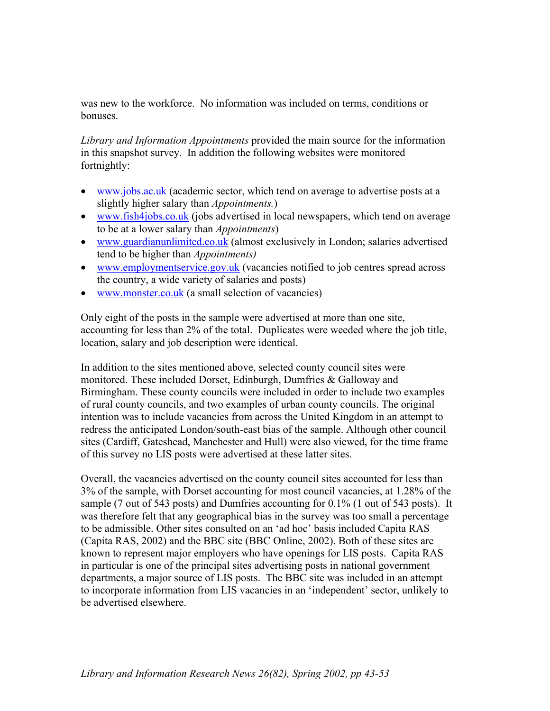was new to the workforce. No information was included on terms, conditions or bonuses.

*Library and Information Appointments* provided the main source for the information in this snapshot survey. In addition the following websites were monitored fortnightly:

- [www.jobs.ac.uk](http://www.jobs.ac.uk/) (academic sector, which tend on average to advertise posts at a slightly higher salary than *Appointments.*)
- [www.fish4jobs.co.uk](http://www.fish4jobs.co.uk/) (jobs advertised in local newspapers, which tend on average to be at a lower salary than *Appointments*)
- [www.guardianunlimited.co.uk](http://www.guardianunlimited.co.uk/) (almost exclusively in London; salaries advertised tend to be higher than *Appointments)*
- [www.employmentservice.gov.uk](http://www.employmentservice.gov.uk/) (vacancies notified to job centres spread across the country, a wide variety of salaries and posts)
- [www.monster.co.uk](http://www.monster.co.uk/) (a small selection of vacancies)

Only eight of the posts in the sample were advertised at more than one site, accounting for less than 2% of the total. Duplicates were weeded where the job title, location, salary and job description were identical.

In addition to the sites mentioned above, selected county council sites were monitored. These included Dorset, Edinburgh, Dumfries & Galloway and Birmingham. These county councils were included in order to include two examples of rural county councils, and two examples of urban county councils. The original intention was to include vacancies from across the United Kingdom in an attempt to redress the anticipated London/south-east bias of the sample. Although other council sites (Cardiff, Gateshead, Manchester and Hull) were also viewed, for the time frame of this survey no LIS posts were advertised at these latter sites.

Overall, the vacancies advertised on the county council sites accounted for less than 3% of the sample, with Dorset accounting for most council vacancies, at 1.28% of the sample (7 out of 543 posts) and Dumfries accounting for 0.1% (1 out of 543 posts). It was therefore felt that any geographical bias in the survey was too small a percentage to be admissible. Other sites consulted on an 'ad hoc' basis included Capita RAS (Capita RAS, 2002) and the BBC site (BBC Online, 2002). Both of these sites are known to represent major employers who have openings for LIS posts. Capita RAS in particular is one of the principal sites advertising posts in national government departments, a major source of LIS posts. The BBC site was included in an attempt to incorporate information from LIS vacancies in an 'independent' sector, unlikely to be advertised elsewhere.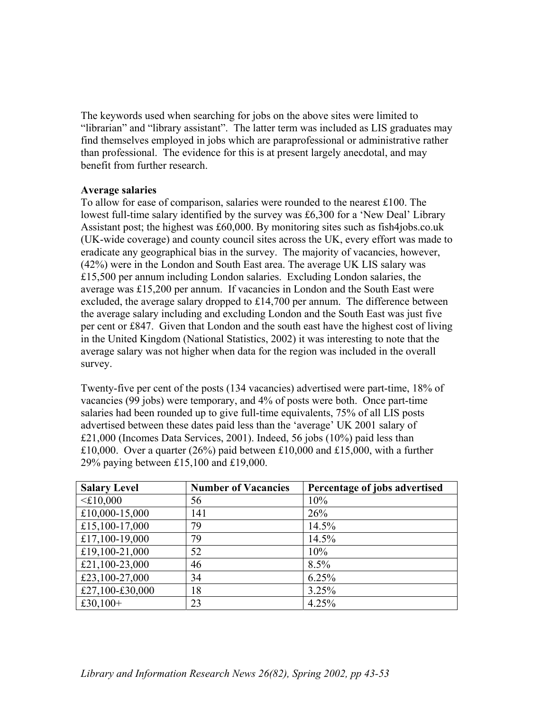The keywords used when searching for jobs on the above sites were limited to "librarian" and "library assistant". The latter term was included as LIS graduates may find themselves employed in jobs which are paraprofessional or administrative rather than professional. The evidence for this is at present largely anecdotal, and may benefit from further research.

## **Average salaries**

To allow for ease of comparison, salaries were rounded to the nearest £100. The lowest full-time salary identified by the survey was £6,300 for a 'New Deal' Library Assistant post; the highest was £60,000. By monitoring sites such as fish4jobs.co.uk (UK-wide coverage) and county council sites across the UK, every effort was made to eradicate any geographical bias in the survey. The majority of vacancies, however, (42%) were in the London and South East area. The average UK LIS salary was £15,500 per annum including London salaries. Excluding London salaries, the average was £15,200 per annum. If vacancies in London and the South East were excluded, the average salary dropped to  $£14,700$  per annum. The difference between the average salary including and excluding London and the South East was just five per cent or £847. Given that London and the south east have the highest cost of living in the United Kingdom (National Statistics, 2002) it was interesting to note that the average salary was not higher when data for the region was included in the overall survey.

Twenty-five per cent of the posts (134 vacancies) advertised were part-time, 18% of vacancies (99 jobs) were temporary, and 4% of posts were both. Once part-time salaries had been rounded up to give full-time equivalents, 75% of all LIS posts advertised between these dates paid less than the 'average' UK 2001 salary of £21,000 (Incomes Data Services, 2001). Indeed, 56 jobs (10%) paid less than £10,000. Over a quarter (26%) paid between £10,000 and £15,000, with a further 29% paying between £15,100 and £19,000.

| <b>Salary Level</b> | <b>Number of Vacancies</b> | Percentage of jobs advertised |
|---------------------|----------------------------|-------------------------------|
| $\leq$ £10,000      | 56                         | 10%                           |
| £10,000-15,000      | 141                        | 26%                           |
| £15,100-17,000      | 79                         | 14.5%                         |
| £17,100-19,000      | 79                         | 14.5%                         |
| £19,100-21,000      | 52                         | 10%                           |
| £21,100-23,000      | 46                         | 8.5%                          |
| £23,100-27,000      | 34                         | 6.25%                         |
| £27,100-£30,000     | 18                         | 3.25%                         |
| £30,100+            | 23                         | 4.25%                         |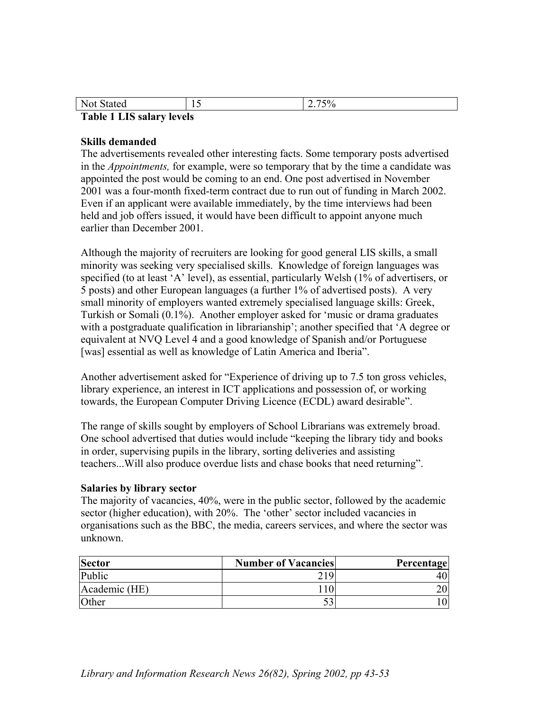| Not Stated                       |  | 2.75% |  |
|----------------------------------|--|-------|--|
| <b>Table 1 LIS salary levels</b> |  |       |  |

### **Skills demanded**

The advertisements revealed other interesting facts. Some temporary posts advertised in the *Appointments,* for example, were so temporary that by the time a candidate was appointed the post would be coming to an end. One post advertised in November 2001 was a four-month fixed-term contract due to run out of funding in March 2002. Even if an applicant were available immediately, by the time interviews had been held and job offers issued, it would have been difficult to appoint anyone much earlier than December 2001.

Although the majority of recruiters are looking for good general LIS skills, a small minority was seeking very specialised skills. Knowledge of foreign languages was specified (to at least 'A' level), as essential, particularly Welsh (1% of advertisers, or 5 posts) and other European languages (a further 1% of advertised posts). A very small minority of employers wanted extremely specialised language skills: Greek, Turkish or Somali (0.1%). Another employer asked for 'music or drama graduates with a postgraduate qualification in librarianship'; another specified that 'A degree or equivalent at NVQ Level 4 and a good knowledge of Spanish and/or Portuguese [was] essential as well as knowledge of Latin America and Iberia".

Another advertisement asked for "Experience of driving up to 7.5 ton gross vehicles, library experience, an interest in ICT applications and possession of, or working towards, the European Computer Driving Licence (ECDL) award desirable".

The range of skills sought by employers of School Librarians was extremely broad. One school advertised that duties would include "keeping the library tidy and books in order, supervising pupils in the library, sorting deliveries and assisting teachers...Will also produce overdue lists and chase books that need returning".

#### **Salaries by library sector**

The majority of vacancies, 40%, were in the public sector, followed by the academic sector (higher education), with 20%. The 'other' sector included vacancies in organisations such as the BBC, the media, careers services, and where the sector was unknown.

| <b>Sector</b> | <b>Number of Vacancies</b> | Percentage |
|---------------|----------------------------|------------|
| Public        | 219                        | 47         |
| Academic (HE) |                            |            |
| Other         |                            |            |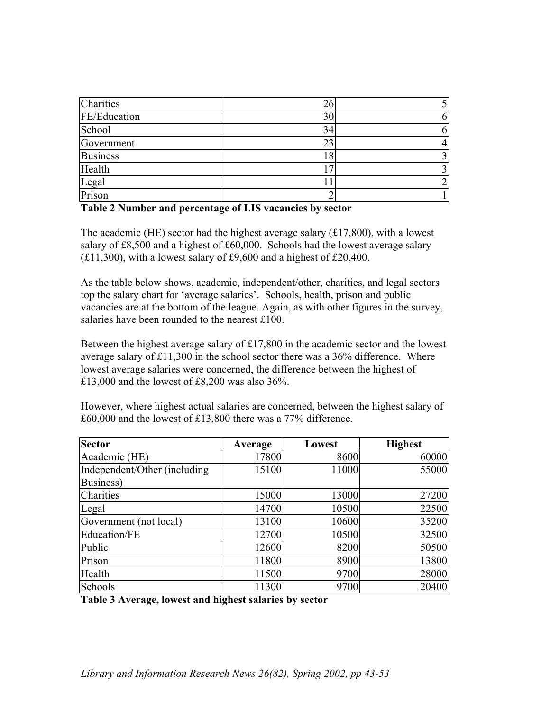| Charities       | 26 |  |
|-----------------|----|--|
| FE/Education    | 30 |  |
| School          | 34 |  |
| Government      | 23 |  |
| <b>Business</b> | 18 |  |
| Health          |    |  |
|                 |    |  |
| Legal<br>Prison |    |  |

## **Table 2 Number and percentage of LIS vacancies by sector**

The academic (HE) sector had the highest average salary  $(\text{\textsterling}17,800)$ , with a lowest salary of £8,500 and a highest of £60,000. Schools had the lowest average salary  $(£11,300)$ , with a lowest salary of £9,600 and a highest of £20,400.

As the table below shows, academic, independent/other, charities, and legal sectors top the salary chart for 'average salaries'. Schools, health, prison and public vacancies are at the bottom of the league. Again, as with other figures in the survey, salaries have been rounded to the nearest £100.

Between the highest average salary of £17,800 in the academic sector and the lowest average salary of £11,300 in the school sector there was a 36% difference. Where lowest average salaries were concerned, the difference between the highest of £13,000 and the lowest of £8,200 was also 36%.

| <b>Sector</b>                 | Average | Lowest | <b>Highest</b> |
|-------------------------------|---------|--------|----------------|
| Academic (HE)                 | 17800   | 8600   | 60000          |
| Independent/Other (including) | 15100   | 11000  | 55000          |
| Business)                     |         |        |                |
| Charities                     | 15000   | 13000  | 27200          |
| Legal                         | 14700   | 10500  | 22500          |
| Government (not local)        | 13100   | 10600  | 35200          |
| Education/FE                  | 12700   | 10500  | 32500          |
| Public                        | 12600   | 8200   | 50500          |
| Prison                        | 11800   | 8900   | 13800          |
| Health                        | 11500   | 9700   | 28000          |
| Schools                       | 11300   | 9700   | 20400          |

However, where highest actual salaries are concerned, between the highest salary of £60,000 and the lowest of £13,800 there was a 77% difference.

**Table 3 Average, lowest and highest salaries by sector**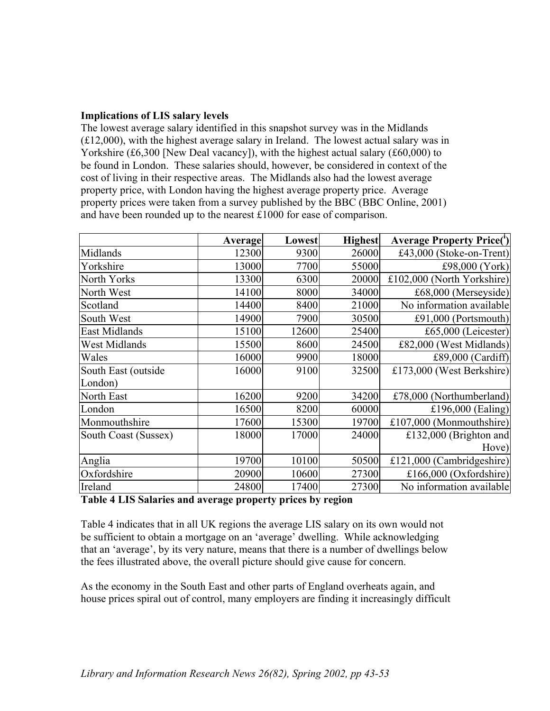# **Implications of LIS salary levels**

The lowest average salary identified in this snapshot survey was in the Midlands (£12,000), with the highest average salary in Ireland. The lowest actual salary was in Yorkshire (£6,300 [New Deal vacancy]), with the highest actual salary (£60,000) to be found in London. These salaries should, however, be considered in context of the cost of living in their respective areas. The Midlands also had the lowest average property price, with London having the highest average property price. Average property prices were taken from a survey published by the BBC (BBC Online, 2001) and have been rounded up to the nearest £1000 for ease of comparison.

|                      | <b>Average</b> | <b>Lowest</b> | <b>Highest</b> | <b>Average Property Price(')</b> |
|----------------------|----------------|---------------|----------------|----------------------------------|
| Midlands             | 12300          | 9300          | 26000          | £43,000 (Stoke-on-Trent)         |
| Yorkshire            | 13000          | 7700          | 55000          | £98,000 $(York)$                 |
| North Yorks          | 13300          | 6300          | 20000          | £102,000 (North Yorkshire)       |
| North West           | 14100          | 8000          | 34000          | £68,000 (Merseyside)             |
| Scotland             | 14400          | 8400          | 21000          | No information available         |
| South West           | 14900          | 7900          | 30500          | £91,000 (Portsmouth)             |
| East Midlands        | 15100          | 12600         | 25400          | £65,000 (Leicester)              |
| <b>West Midlands</b> | 15500          | 8600          | 24500          | £82,000 (West Midlands)          |
| Wales                | 16000          | 9900          | 18000          | £89,000 (Cardiff)                |
| South East (outside  | 16000          | 9100          | 32500          | £173,000 (West Berkshire)        |
| London)              |                |               |                |                                  |
| North East           | 16200          | 9200          | 34200          | £78,000 (Northumberland)         |
| London               | 16500          | 8200          | 60000          | £196,000 $(Ealing)$              |
| Monmouthshire        | 17600          | 15300         | 19700          | £107,000 (Monmouthshire)         |
| South Coast (Sussex) | 18000          | 17000         | 24000          | £132,000 (Brighton and           |
|                      |                |               |                | Hove)                            |
| Anglia               | 19700          | 10100         | 50500          | £121,000 (Cambridgeshire)        |
| Oxfordshire          | 20900          | 10600         | 27300          | £166,000 (Oxfordshire)           |
| Ireland              | 24800          | 17400         | 27300          | No information available         |

### **Table 4 LIS Salaries and average property prices by region**

Table 4 indicates that in all UK regions the average LIS salary on its own would not be sufficient to obtain a mortgage on an 'average' dwelling. While acknowledging that an 'average', by its very nature, means that there is a number of dwellings below the fees illustrated above, the overall picture should give cause for concern.

As the economy in the South East and other parts of England overheats again, and house prices spiral out of control, many employers are finding it increasingly difficult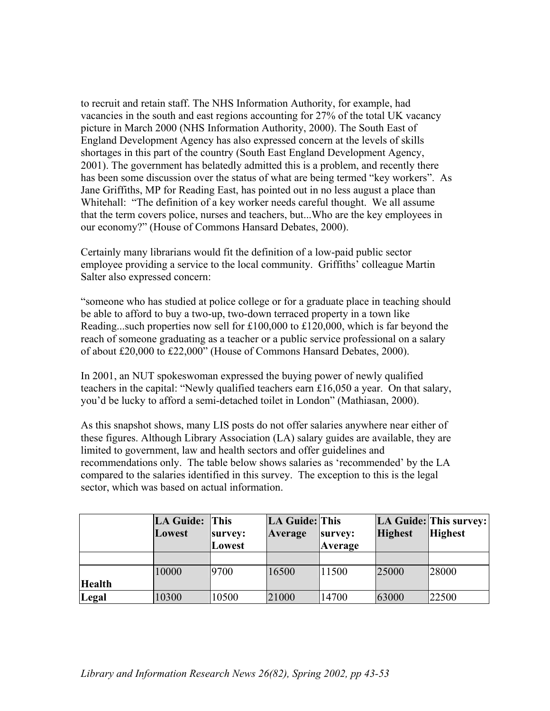to recruit and retain staff. The NHS Information Authority, for example, had vacancies in the south and east regions accounting for 27% of the total UK vacancy picture in March 2000 (NHS Information Authority, 2000). The South East of England Development Agency has also expressed concern at the levels of skills shortages in this part of the country (South East England Development Agency, 2001). The government has belatedly admitted this is a problem, and recently there has been some discussion over the status of what are being termed "key workers". As Jane Griffiths, MP for Reading East, has pointed out in no less august a place than Whitehall: "The definition of a key worker needs careful thought. We all assume that the term covers police, nurses and teachers, but...Who are the key employees in our economy?" (House of Commons Hansard Debates, 2000).

Certainly many librarians would fit the definition of a low-paid public sector employee providing a service to the local community. Griffiths' colleague Martin Salter also expressed concern:

"someone who has studied at police college or for a graduate place in teaching should be able to afford to buy a two-up, two-down terraced property in a town like Reading...such properties now sell for £100,000 to £120,000, which is far beyond the reach of someone graduating as a teacher or a public service professional on a salary of about £20,000 to £22,000" (House of Commons Hansard Debates, 2000).

In 2001, an NUT spokeswoman expressed the buying power of newly qualified teachers in the capital: "Newly qualified teachers earn £16,050 a year. On that salary, you'd be lucky to afford a semi-detached toilet in London" (Mathiasan, 2000).

As this snapshot shows, many LIS posts do not offer salaries anywhere near either of these figures. Although Library Association (LA) salary guides are available, they are limited to government, law and health sectors and offer guidelines and recommendations only. The table below shows salaries as 'recommended' by the LA compared to the salaries identified in this survey. The exception to this is the legal sector, which was based on actual information.

|               | LA Guide:<br>Lowest | <b>This</b><br>survey:<br>Lowest | LA Guide: This<br>Average | survey:<br>Average | <b>Highest</b> | LA Guide: This survey:<br><b>Highest</b> |
|---------------|---------------------|----------------------------------|---------------------------|--------------------|----------------|------------------------------------------|
|               |                     |                                  |                           |                    |                |                                          |
|               | 10000               | 9700                             | 16500                     | 11500              | 25000          | '28000                                   |
| <b>Health</b> |                     |                                  |                           |                    |                |                                          |
| Legal         | 10300               | 10500                            | 21000                     | 14700              | 63000          | 22500                                    |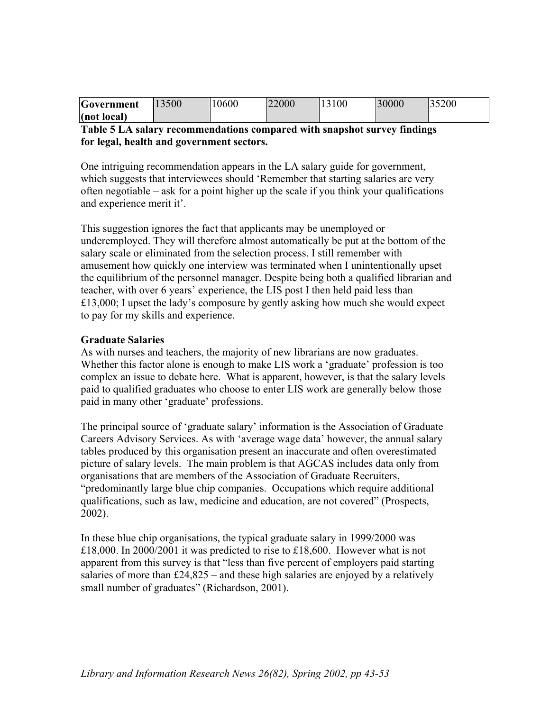| Government  | 13500 | 10600 | 22000 | 3100 | 30000 | 35200 |
|-------------|-------|-------|-------|------|-------|-------|
| (not local) |       |       |       |      |       |       |

# **Table 5 LA salary recommendations compared with snapshot survey findings for legal, health and government sectors.**

One intriguing recommendation appears in the LA salary guide for government, which suggests that interviewees should 'Remember that starting salaries are very often negotiable – ask for a point higher up the scale if you think your qualifications and experience merit it'.

This suggestion ignores the fact that applicants may be unemployed or underemployed. They will therefore almost automatically be put at the bottom of the salary scale or eliminated from the selection process. I still remember with amusement how quickly one interview was terminated when I unintentionally upset the equilibrium of the personnel manager. Despite being both a qualified librarian and teacher, with over 6 years' experience, the LIS post I then held paid less than £13,000; I upset the lady's composure by gently asking how much she would expect to pay for my skills and experience.

# **Graduate Salaries**

As with nurses and teachers, the majority of new librarians are now graduates. Whether this factor alone is enough to make LIS work a 'graduate' profession is too complex an issue to debate here. What is apparent, however, is that the salary levels paid to qualified graduates who choose to enter LIS work are generally below those paid in many other 'graduate' professions.

The principal source of 'graduate salary' information is the Association of Graduate Careers Advisory Services. As with 'average wage data' however, the annual salary tables produced by this organisation present an inaccurate and often overestimated picture of salary levels. The main problem is that AGCAS includes data only from organisations that are members of the Association of Graduate Recruiters, "predominantly large blue chip companies. Occupations which require additional qualifications, such as law, medicine and education, are not covered" (Prospects, 2002).

In these blue chip organisations, the typical graduate salary in 1999/2000 was £18,000. In 2000/2001 it was predicted to rise to £18,600. However what is not apparent from this survey is that "less than five percent of employers paid starting salaries of more than  $£24,825 -$  and these high salaries are enjoyed by a relatively small number of graduates" (Richardson, 2001).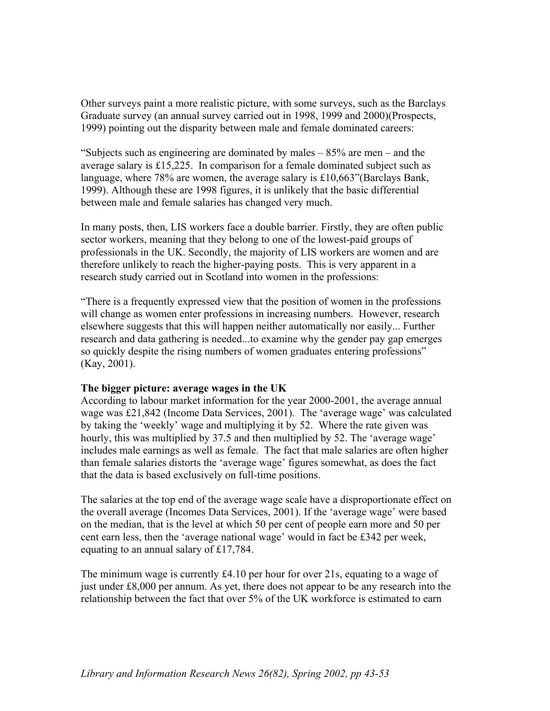Other surveys paint a more realistic picture, with some surveys, such as the Barclays Graduate survey (an annual survey carried out in 1998, 1999 and 2000)(Prospects, 1999) pointing out the disparity between male and female dominated careers:

"Subjects such as engineering are dominated by males – 85% are men – and the average salary is £15,225. In comparison for a female dominated subject such as language, where 78% are women, the average salary is £10,663"(Barclays Bank, 1999). Although these are 1998 figures, it is unlikely that the basic differential between male and female salaries has changed very much.

In many posts, then, LIS workers face a double barrier. Firstly, they are often public sector workers, meaning that they belong to one of the lowest-paid groups of professionals in the UK. Secondly, the majority of LIS workers are women and are therefore unlikely to reach the higher-paying posts. This is very apparent in a research study carried out in Scotland into women in the professions:

"There is a frequently expressed view that the position of women in the professions will change as women enter professions in increasing numbers. However, research elsewhere suggests that this will happen neither automatically nor easily... Further research and data gathering is needed...to examine why the gender pay gap emerges so quickly despite the rising numbers of women graduates entering professions" (Kay, 2001).

## **The bigger picture: average wages in the UK**

According to labour market information for the year 2000-2001, the average annual wage was £21,842 (Income Data Services, 2001). The 'average wage' was calculated by taking the 'weekly' wage and multiplying it by 52. Where the rate given was hourly, this was multiplied by 37.5 and then multiplied by 52. The 'average wage' includes male earnings as well as female. The fact that male salaries are often higher than female salaries distorts the 'average wage' figures somewhat, as does the fact that the data is based exclusively on full-time positions.

The salaries at the top end of the average wage scale have a disproportionate effect on the overall average (Incomes Data Services, 2001). If the 'average wage' were based on the median, that is the level at which 50 per cent of people earn more and 50 per cent earn less, then the 'average national wage' would in fact be £342 per week, equating to an annual salary of £17,784.

The minimum wage is currently  $\text{\pounds}4.10$  per hour for over 21s, equating to a wage of just under £8,000 per annum. As yet, there does not appear to be any research into the relationship between the fact that over 5% of the UK workforce is estimated to earn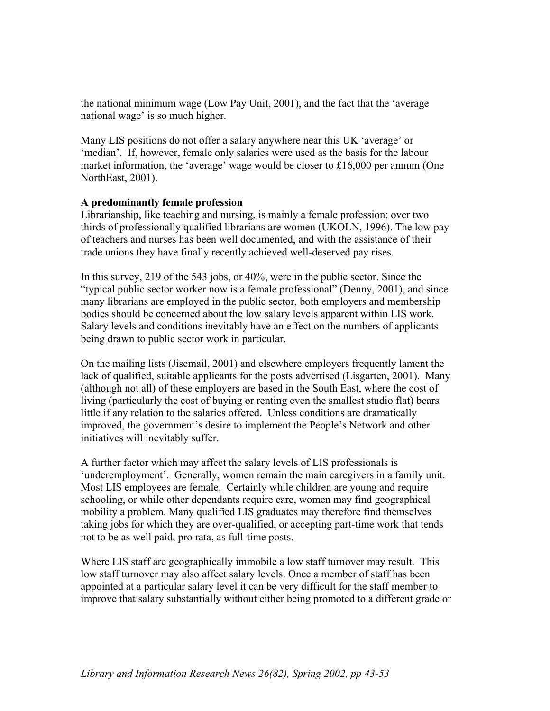the national minimum wage (Low Pay Unit, 2001), and the fact that the 'average national wage' is so much higher.

Many LIS positions do not offer a salary anywhere near this UK 'average' or 'median'. If, however, female only salaries were used as the basis for the labour market information, the 'average' wage would be closer to £16,000 per annum (One NorthEast, 2001).

## **A predominantly female profession**

Librarianship, like teaching and nursing, is mainly a female profession: over two thirds of professionally qualified librarians are women (UKOLN, 1996). The low pay of teachers and nurses has been well documented, and with the assistance of their trade unions they have finally recently achieved well-deserved pay rises.

In this survey, 219 of the 543 jobs, or 40%, were in the public sector. Since the "typical public sector worker now is a female professional" (Denny, 2001), and since many librarians are employed in the public sector, both employers and membership bodies should be concerned about the low salary levels apparent within LIS work. Salary levels and conditions inevitably have an effect on the numbers of applicants being drawn to public sector work in particular.

On the mailing lists (Jiscmail, 2001) and elsewhere employers frequently lament the lack of qualified, suitable applicants for the posts advertised (Lisgarten, 2001). Many (although not all) of these employers are based in the South East, where the cost of living (particularly the cost of buying or renting even the smallest studio flat) bears little if any relation to the salaries offered. Unless conditions are dramatically improved, the government's desire to implement the People's Network and other initiatives will inevitably suffer.

A further factor which may affect the salary levels of LIS professionals is 'underemployment'. Generally, women remain the main caregivers in a family unit. Most LIS employees are female. Certainly while children are young and require schooling, or while other dependants require care, women may find geographical mobility a problem. Many qualified LIS graduates may therefore find themselves taking jobs for which they are over-qualified, or accepting part-time work that tends not to be as well paid, pro rata, as full-time posts.

Where LIS staff are geographically immobile a low staff turnover may result. This low staff turnover may also affect salary levels. Once a member of staff has been appointed at a particular salary level it can be very difficult for the staff member to improve that salary substantially without either being promoted to a different grade or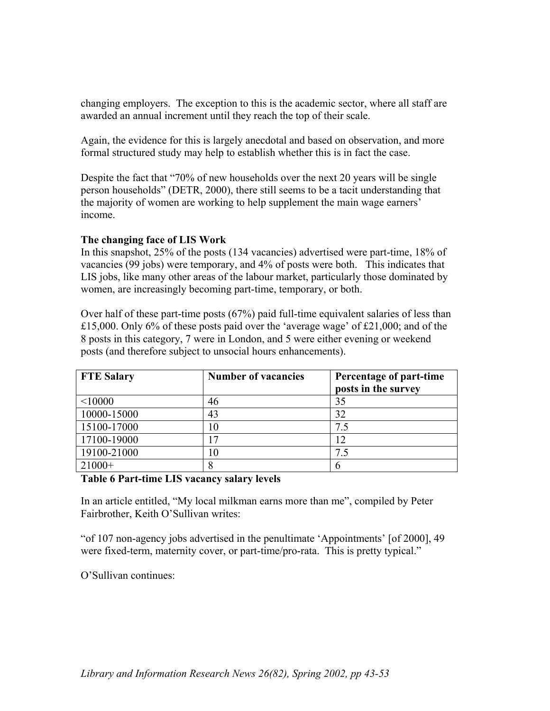changing employers. The exception to this is the academic sector, where all staff are awarded an annual increment until they reach the top of their scale.

Again, the evidence for this is largely anecdotal and based on observation, and more formal structured study may help to establish whether this is in fact the case.

Despite the fact that "70% of new households over the next 20 years will be single person households" (DETR, 2000), there still seems to be a tacit understanding that the majority of women are working to help supplement the main wage earners' income.

# **The changing face of LIS Work**

In this snapshot, 25% of the posts (134 vacancies) advertised were part-time, 18% of vacancies (99 jobs) were temporary, and 4% of posts were both. This indicates that LIS jobs, like many other areas of the labour market, particularly those dominated by women, are increasingly becoming part-time, temporary, or both.

Over half of these part-time posts (67%) paid full-time equivalent salaries of less than £15,000. Only 6% of these posts paid over the 'average wage' of £21,000; and of the 8 posts in this category, 7 were in London, and 5 were either evening or weekend posts (and therefore subject to unsocial hours enhancements).

| <b>FTE Salary</b> | <b>Number of vacancies</b> | Percentage of part-time<br>posts in the survey |
|-------------------|----------------------------|------------------------------------------------|
| < 10000           | 46                         | 35                                             |
| 10000-15000       | 43                         | 32                                             |
| 15100-17000       | 10                         | 7.5                                            |
| 17100-19000       | $\sqrt{7}$                 | 12                                             |
| 19100-21000       |                            | 7.5                                            |
| $21000+$          | 8                          | 6                                              |

## **Table 6 Part-time LIS vacancy salary levels**

In an article entitled, "My local milkman earns more than me", compiled by Peter Fairbrother, Keith O'Sullivan writes:

"of 107 non-agency jobs advertised in the penultimate 'Appointments' [of 2000], 49 were fixed-term, maternity cover, or part-time/pro-rata. This is pretty typical."

O'Sullivan continues: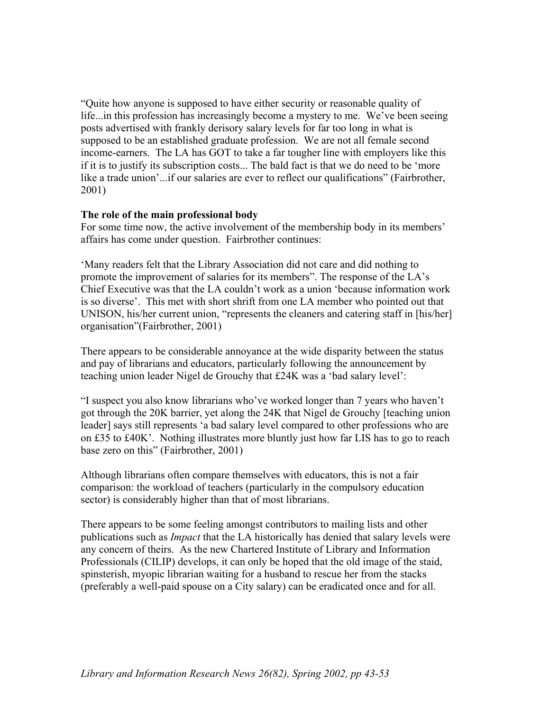"Quite how anyone is supposed to have either security or reasonable quality of life...in this profession has increasingly become a mystery to me. We've been seeing posts advertised with frankly derisory salary levels for far too long in what is supposed to be an established graduate profession. We are not all female second income-earners. The LA has GOT to take a far tougher line with employers like this if it is to justify its subscription costs... The bald fact is that we do need to be 'more like a trade union'...if our salaries are ever to reflect our qualifications" (Fairbrother, 2001)

### **The role of the main professional body**

For some time now, the active involvement of the membership body in its members' affairs has come under question. Fairbrother continues:

'Many readers felt that the Library Association did not care and did nothing to promote the improvement of salaries for its members". The response of the LA's Chief Executive was that the LA couldn't work as a union 'because information work is so diverse'. This met with short shrift from one LA member who pointed out that UNISON, his/her current union, "represents the cleaners and catering staff in [his/her] organisation"(Fairbrother, 2001)

There appears to be considerable annoyance at the wide disparity between the status and pay of librarians and educators, particularly following the announcement by teaching union leader Nigel de Grouchy that £24K was a 'bad salary level':

"I suspect you also know librarians who've worked longer than 7 years who haven't got through the 20K barrier, yet along the 24K that Nigel de Grouchy [teaching union leader] says still represents 'a bad salary level compared to other professions who are on £35 to £40K'. Nothing illustrates more bluntly just how far LIS has to go to reach base zero on this" (Fairbrother, 2001)

Although librarians often compare themselves with educators, this is not a fair comparison: the workload of teachers (particularly in the compulsory education sector) is considerably higher than that of most librarians.

There appears to be some feeling amongst contributors to mailing lists and other publications such as *Impact* that the LA historically has denied that salary levels were any concern of theirs. As the new Chartered Institute of Library and Information Professionals (CILIP) develops, it can only be hoped that the old image of the staid, spinsterish, myopic librarian waiting for a husband to rescue her from the stacks (preferably a well-paid spouse on a City salary) can be eradicated once and for all.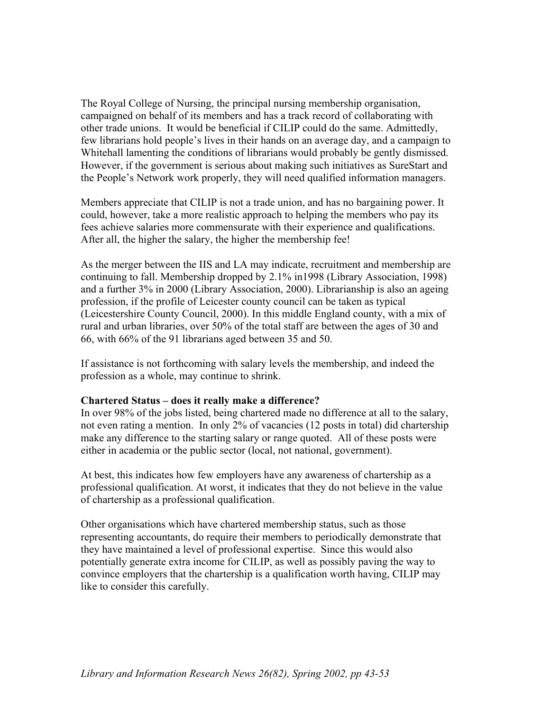The Royal College of Nursing, the principal nursing membership organisation, campaigned on behalf of its members and has a track record of collaborating with other trade unions. It would be beneficial if CILIP could do the same. Admittedly, few librarians hold people's lives in their hands on an average day, and a campaign to Whitehall lamenting the conditions of librarians would probably be gently dismissed. However, if the government is serious about making such initiatives as SureStart and the People's Network work properly, they will need qualified information managers.

Members appreciate that CILIP is not a trade union, and has no bargaining power. It could, however, take a more realistic approach to helping the members who pay its fees achieve salaries more commensurate with their experience and qualifications. After all, the higher the salary, the higher the membership fee!

As the merger between the IIS and LA may indicate, recruitment and membership are continuing to fall. Membership dropped by 2.1% in1998 (Library Association, 1998) and a further 3% in 2000 (Library Association, 2000). Librarianship is also an ageing profession, if the profile of Leicester county council can be taken as typical (Leicestershire County Council, 2000). In this middle England county, with a mix of rural and urban libraries, over 50% of the total staff are between the ages of 30 and 66, with 66% of the 91 librarians aged between 35 and 50.

If assistance is not forthcoming with salary levels the membership, and indeed the profession as a whole, may continue to shrink.

## **Chartered Status – does it really make a difference?**

In over 98% of the jobs listed, being chartered made no difference at all to the salary, not even rating a mention. In only 2% of vacancies (12 posts in total) did chartership make any difference to the starting salary or range quoted. All of these posts were either in academia or the public sector (local, not national, government).

At best, this indicates how few employers have any awareness of chartership as a professional qualification. At worst, it indicates that they do not believe in the value of chartership as a professional qualification.

Other organisations which have chartered membership status, such as those representing accountants, do require their members to periodically demonstrate that they have maintained a level of professional expertise. Since this would also potentially generate extra income for CILIP, as well as possibly paving the way to convince employers that the chartership is a qualification worth having, CILIP may like to consider this carefully.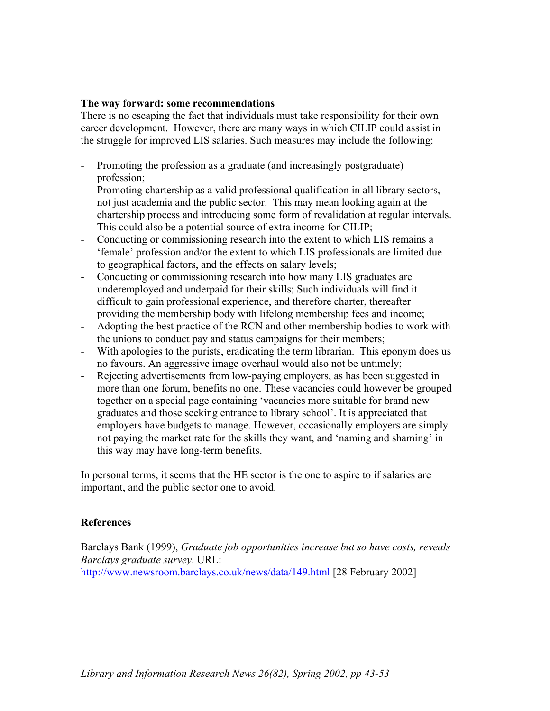### **The way forward: some recommendations**

There is no escaping the fact that individuals must take responsibility for their own career development. However, there are many ways in which CILIP could assist in the struggle for improved LIS salaries. Such measures may include the following:

- Promoting the profession as a graduate (and increasingly postgraduate) profession;
- Promoting chartership as a valid professional qualification in all library sectors, not just academia and the public sector. This may mean looking again at the chartership process and introducing some form of revalidation at regular intervals. This could also be a potential source of extra income for CILIP;
- Conducting or commissioning research into the extent to which LIS remains a 'female' profession and/or the extent to which LIS professionals are limited due to geographical factors, and the effects on salary levels;
- Conducting or commissioning research into how many LIS graduates are underemployed and underpaid for their skills; Such individuals will find it difficult to gain professional experience, and therefore charter, thereafter providing the membership body with lifelong membership fees and income;
- Adopting the best practice of the RCN and other membership bodies to work with the unions to conduct pay and status campaigns for their members;
- With apologies to the purists, eradicating the term librarian. This eponym does us no favours. An aggressive image overhaul would also not be untimely;
- Rejecting advertisements from low-paying employers, as has been suggested in more than one forum, benefits no one. These vacancies could however be grouped together on a special page containing 'vacancies more suitable for brand new graduates and those seeking entrance to library school'. It is appreciated that employers have budgets to manage. However, occasionally employers are simply not paying the market rate for the skills they want, and 'naming and shaming' in this way may have long-term benefits.

In personal terms, it seems that the HE sector is the one to aspire to if salaries are important, and the public sector one to avoid.

#### **References**

l

Barclays Bank (1999), *Graduate job opportunities increase but so have costs, reveals Barclays graduate survey*. URL: <http://www.newsroom.barclays.co.uk/news/data/149.html>[28 February 2002]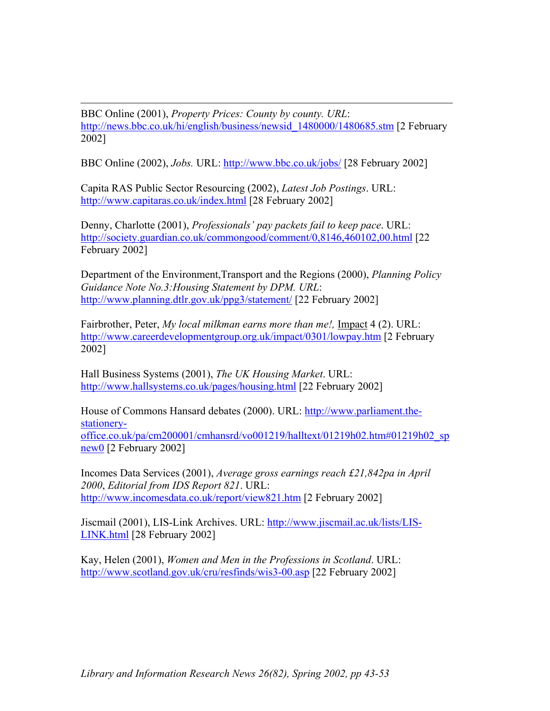l BBC Online (2001), *Property Prices: County by county. URL*: http://news.bbc.co.uk/hi/english/business/newsid 1480000/1480685.stm [2 February 2002]

BBC Online (2002), *Jobs.* URL: <http://www.bbc.co.uk/jobs/>[28 February 2002]

Capita RAS Public Sector Resourcing (2002), *Latest Job Postings*. URL: <http://www.capitaras.co.uk/index.html> [28 February 2002]

Denny, Charlotte (2001), *Professionals' pay packets fail to keep pace*. URL: <http://society.guardian.co.uk/commongood/comment/0,8146,460102,00.html> [22] February 2002]

Department of the Environment,Transport and the Regions (2000), *Planning Policy Guidance Note No.3:Housing Statement by DPM. URL*: <http://www.planning.dtlr.gov.uk/ppg3/statement/> [22 February 2002]

Fairbrother, Peter, *My local milkman earns more than me!,* Impact 4 (2). URL: <http://www.careerdevelopmentgroup.org.uk/impact/0301/lowpay.htm>[2 February 2002]

Hall Business Systems (2001), *The UK Housing Market*. URL: <http://www.hallsystems.co.uk/pages/housing.html>[22 February 2002]

House of Commons Hansard debates (2000). URL: [http://www.parliament.the](http://www.parliament-the-stationery-office-co.uk/pa/cm200001/cmhansard/vo001219/halltext/01219h0)[stationery](http://www.parliament-the-stationery-office-co.uk/pa/cm200001/cmhansard/vo001219/halltext/01219h0)[office.co.uk/pa/cm200001/cmhansrd/vo001219/halltext/01219h02.htm#01219h02\\_sp](http://www.parliament-the-stationery-office-co.uk/pa/cm200001/cmhansard/vo001219/halltext/01219h0) [new0](http://www.parliament-the-stationery-office-co.uk/pa/cm200001/cmhansard/vo001219/halltext/01219h0) [2 February 2002]

Incomes Data Services (2001), *Average gross earnings reach £21,842pa in April 2000*, *Editorial from IDS Report 821*. URL: <http://www.incomesdata.co.uk/report/view821.htm> [2 February 2002]

Jiscmail (2001), LIS-Link Archives. URL: [http://www.jiscmail.ac.uk/lists/LIS-](http://www.jiscmail.ac.uk/lists/LIS-LINK.html)[LINK.html](http://www.jiscmail.ac.uk/lists/LIS-LINK.html) [28 February 2002]

Kay, Helen (2001), *Women and Men in the Professions in Scotland*. URL: <http://www.scotland.gov.uk/cru/resfinds/wis3-00.asp>[22 February 2002]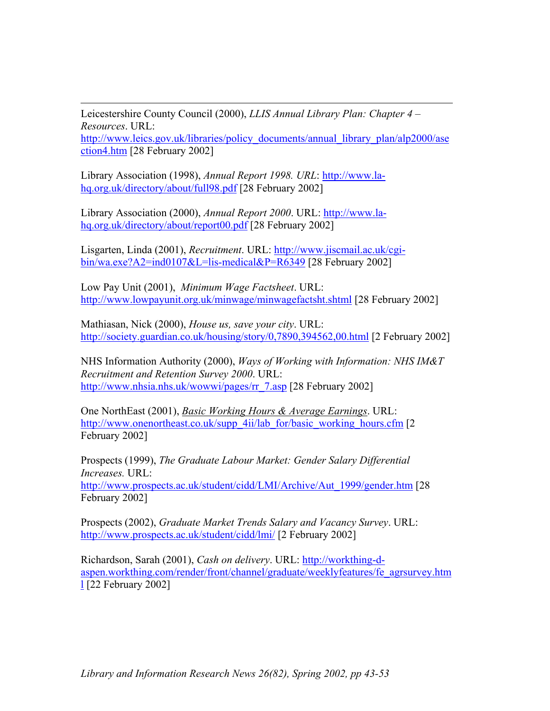l Leicestershire County Council (2000), *LLIS Annual Library Plan: Chapter 4 – Resources*. URL:

[http://www.leics.gov.uk/libraries/policy\\_documents/annual\\_library\\_plan/alp2000/ase](http://www.leics.gov.uk/libraries/policy_documents/annual_library_plan/alp2000/asection4.htm) [ction4.htm](http://www.leics.gov.uk/libraries/policy_documents/annual_library_plan/alp2000/asection4.htm) [28 February 2002]

Library Association (1998), *Annual Report 1998. URL*: [http://www.la](http://www.la-hq.org.uk/directory/about/full98.pdf)[hq.org.uk/directory/about/full98.pdf](http://www.la-hq.org.uk/directory/about/full98.pdf) [28 February 2002]

Library Association (2000), *Annual Report 2000*. URL: [http://www.la](http://www.la-hq.org.uk/directory/about/report00.pdf)[hq.org.uk/directory/about/report00.pdf](http://www.la-hq.org.uk/directory/about/report00.pdf) [28 February 2002]

Lisgarten, Linda (2001), *Recruitment*. URL: [http://www.jiscmail.ac.uk/cgi](http://www.jiscmail.ac.uk/cgi-bin/wa.exe?A2=ind0107&L=lis-medical&P=R6349)[bin/wa.exe?A2=ind0107&L=lis-medical&P=R6349](http://www.jiscmail.ac.uk/cgi-bin/wa.exe?A2=ind0107&L=lis-medical&P=R6349) [28 February 2002]

Low Pay Unit (2001), *Minimum Wage Factsheet*. URL: <http://www.lowpayunit.org.uk/minwage/minwagefactsht.shtml>[28 February 2002]

Mathiasan, Nick (2000), *House us, save your city*. URL: <http://society.guardian.co.uk/housing/story/0,7890,394562,00.html>[2 February 2002]

NHS Information Authority (2000), *Ways of Working with Information: NHS IM&T Recruitment and Retention Survey 2000*. URL: [http://www.nhsia.nhs.uk/wowwi/pages/rr\\_7.asp](http://www.nhsia.nhs.uk/wowwi/pages/rr_7.asp) [28 February 2002]

One NorthEast (2001), *Basic Working Hours & Average Earnings*. URL: [http://www.onenortheast.co.uk/supp\\_4ii/lab\\_for/basic\\_working\\_hours.cfm](http://www.onenortheast.co.uk/supp_4ii/lab_for/basic_working_hours.cfm) [2 February 2002]

Prospects (1999), *The Graduate Labour Market: Gender Salary Differential Increases.* URL: [http://www.prospects.ac.uk/student/cidd/LMI/Archive/Aut\\_1999/gender.htm](http://www.prospects.ac.uk/student/cidd/LMI/Archive/Aut_1999/gender.htm) [28 February 2002]

Prospects (2002), *Graduate Market Trends Salary and Vacancy Survey*. URL: [http://www.prospects.ac.uk/student/cidd/lmi/](http://www.prospects.ac.uk/student/cidd/lmi/press-release.doc) [2 February 2002]

Richardson, Sarah (2001), *Cash on delivery*. URL: [http://workthing-d](http://workthing-d-aspen.workthing.com/front/channel/grduate/weeklyfeatures/fe_agrsurvey.html)[aspen.workthing.com/render/front/channel/graduate/weeklyfeatures/fe\\_agrsurvey.htm](http://workthing-d-aspen.workthing.com/front/channel/grduate/weeklyfeatures/fe_agrsurvey.html) [l](http://workthing-d-aspen.workthing.com/front/channel/grduate/weeklyfeatures/fe_agrsurvey.html) [22 February 2002]